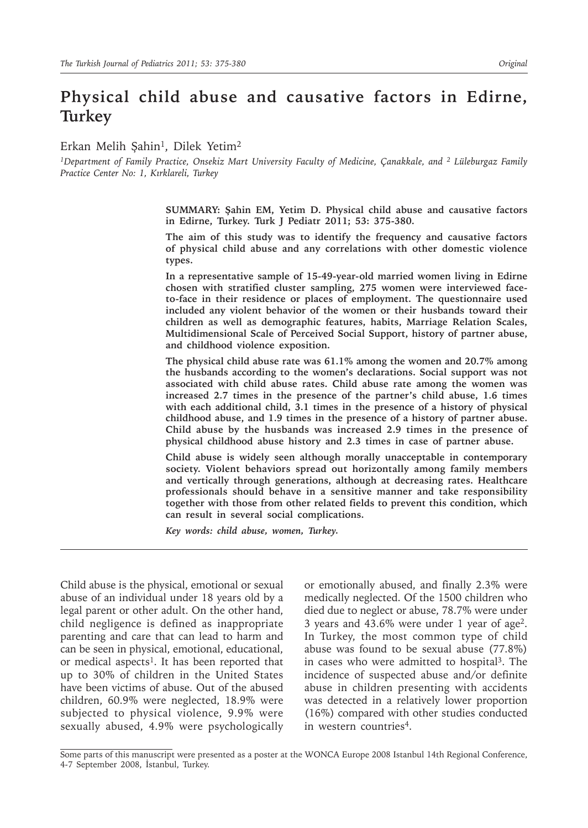# **Physical child abuse and causative factors in Edirne, Turkey**

Erkan Melih Şahin<sup>1</sup>, Dilek Yetim<sup>2</sup>

*1Department of Family Practice, Onsekiz Mart University Faculty of Medicine, Çanakkale, and 2 Lüleburgaz Family Practice Center No: 1, Kırklareli, Turkey*

> **SUMMARY: Şahin EM, Yetim D. Physical child abuse and causative factors in Edirne, Turkey. Turk J Pediatr 2011; 53: 375-380.**

> **The aim of this study was to identify the frequency and causative factors of physical child abuse and any correlations with other domestic violence types.**

> **In a representative sample of 15-49-year-old married women living in Edirne chosen with stratified cluster sampling, 275 women were interviewed faceto-face in their residence or places of employment. The questionnaire used included any violent behavior of the women or their husbands toward their children as well as demographic features, habits, Marriage Relation Scales, Multidimensional Scale of Perceived Social Support, history of partner abuse, and childhood violence exposition.**

> **The physical child abuse rate was 61.1% among the women and 20.7% among the husbands according to the women's declarations. Social support was not associated with child abuse rates. Child abuse rate among the women was increased 2.7 times in the presence of the partner's child abuse, 1.6 times with each additional child, 3.1 times in the presence of a history of physical childhood abuse, and 1.9 times in the presence of a history of partner abuse. Child abuse by the husbands was increased 2.9 times in the presence of physical childhood abuse history and 2.3 times in case of partner abuse.**

> **Child abuse is widely seen although morally unacceptable in contemporary society. Violent behaviors spread out horizontally among family members and vertically through generations, although at decreasing rates. Healthcare professionals should behave in a sensitive manner and take responsibility together with those from other related fields to prevent this condition, which can result in several social complications.**

*Key words: child abuse, women, Turkey.*

Child abuse is the physical, emotional or sexual abuse of an individual under 18 years old by a legal parent or other adult. On the other hand, child negligence is defined as inappropriate parenting and care that can lead to harm and can be seen in physical, emotional, educational, or medical aspects<sup>1</sup>. It has been reported that up to 30% of children in the United States have been victims of abuse. Out of the abused children, 60.9% were neglected, 18.9% were subjected to physical violence, 9.9% were sexually abused, 4.9% were psychologically or emotionally abused, and finally 2.3% were medically neglected. Of the 1500 children who died due to neglect or abuse, 78.7% were under 3 years and 43.6% were under 1 year of age2. In Turkey, the most common type of child abuse was found to be sexual abuse (77.8%) in cases who were admitted to hospital<sup>3</sup>. The incidence of suspected abuse and/or definite abuse in children presenting with accidents was detected in a relatively lower proportion (16%) compared with other studies conducted in western countries4.

Some parts of this manuscript were presented as a poster at the WONCA Europe 2008 Istanbul 14th Regional Conference, 4-7 September 2008, İstanbul, Turkey.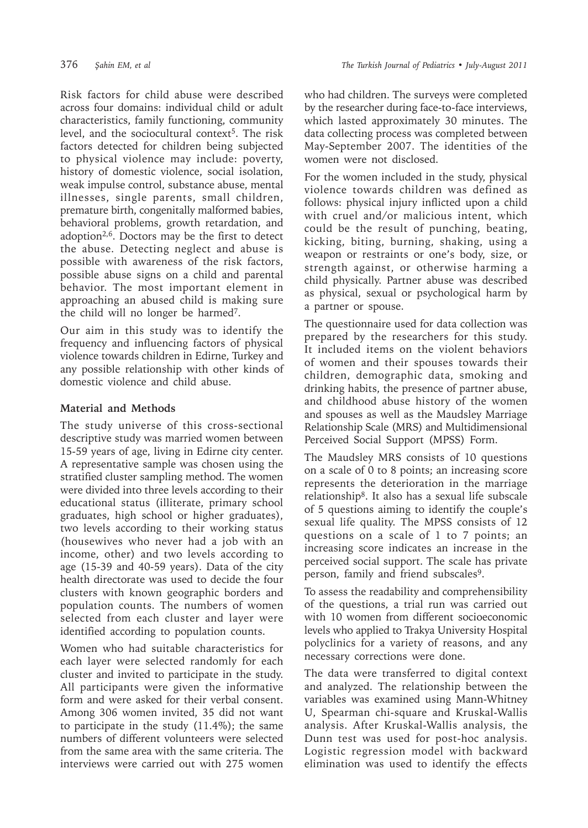Risk factors for child abuse were described across four domains: individual child or adult characteristics, family functioning, community level, and the sociocultural context<sup>5</sup>. The risk factors detected for children being subjected to physical violence may include: poverty, history of domestic violence, social isolation, weak impulse control, substance abuse, mental illnesses, single parents, small children, premature birth, congenitally malformed babies, behavioral problems, growth retardation, and adoption2,6. Doctors may be the first to detect the abuse. Detecting neglect and abuse is possible with awareness of the risk factors, possible abuse signs on a child and parental behavior. The most important element in approaching an abused child is making sure the child will no longer be harmed7.

Our aim in this study was to identify the frequency and influencing factors of physical violence towards children in Edirne, Turkey and any possible relationship with other kinds of domestic violence and child abuse.

## **Material and Methods**

The study universe of this cross-sectional descriptive study was married women between 15-59 years of age, living in Edirne city center. A representative sample was chosen using the stratified cluster sampling method. The women were divided into three levels according to their educational status (illiterate, primary school graduates, high school or higher graduates), two levels according to their working status (housewives who never had a job with an income, other) and two levels according to age (15-39 and 40-59 years). Data of the city health directorate was used to decide the four clusters with known geographic borders and population counts. The numbers of women selected from each cluster and layer were identified according to population counts.

Women who had suitable characteristics for each layer were selected randomly for each cluster and invited to participate in the study. All participants were given the informative form and were asked for their verbal consent. Among 306 women invited, 35 did not want to participate in the study (11.4%); the same numbers of different volunteers were selected from the same area with the same criteria. The interviews were carried out with 275 women

who had children. The surveys were completed by the researcher during face-to-face interviews, which lasted approximately 30 minutes. The data collecting process was completed between May-September 2007. The identities of the women were not disclosed.

For the women included in the study, physical violence towards children was defined as follows: physical injury inflicted upon a child with cruel and/or malicious intent, which could be the result of punching, beating, kicking, biting, burning, shaking, using a weapon or restraints or one's body, size, or strength against, or otherwise harming a child physically. Partner abuse was described as physical, sexual or psychological harm by a partner or spouse.

The questionnaire used for data collection was prepared by the researchers for this study. It included items on the violent behaviors of women and their spouses towards their children, demographic data, smoking and drinking habits, the presence of partner abuse, and childhood abuse history of the women and spouses as well as the Maudsley Marriage Relationship Scale (MRS) and Multidimensional Perceived Social Support (MPSS) Form.

The Maudsley MRS consists of 10 questions on a scale of 0 to 8 points; an increasing score represents the deterioration in the marriage relationship8. It also has a sexual life subscale of 5 questions aiming to identify the couple's sexual life quality. The MPSS consists of 12 questions on a scale of 1 to 7 points; an increasing score indicates an increase in the perceived social support. The scale has private person, family and friend subscales<sup>9</sup>.

To assess the readability and comprehensibility of the questions, a trial run was carried out with 10 women from different socioeconomic levels who applied to Trakya University Hospital polyclinics for a variety of reasons, and any necessary corrections were done.

The data were transferred to digital context and analyzed. The relationship between the variables was examined using Mann-Whitney U, Spearman chi-square and Kruskal-Wallis analysis. After Kruskal-Wallis analysis, the Dunn test was used for post-hoc analysis. Logistic regression model with backward elimination was used to identify the effects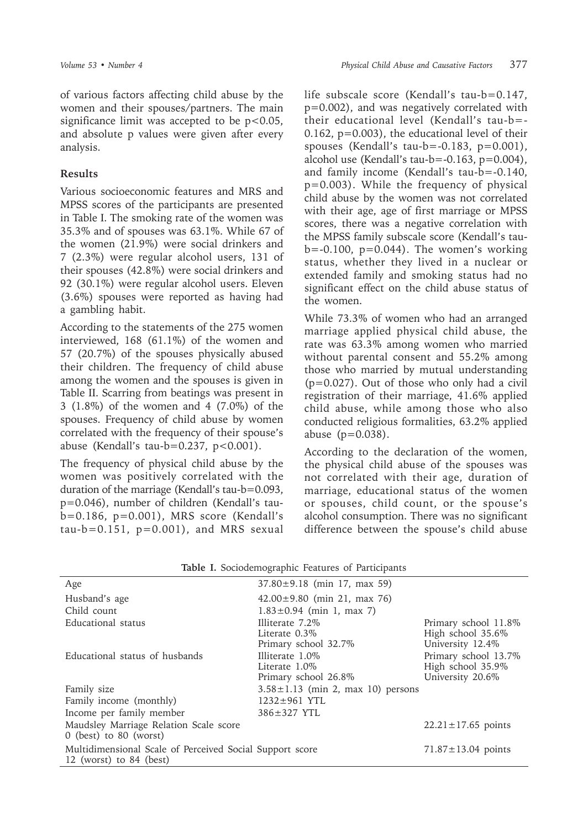of various factors affecting child abuse by the women and their spouses/partners. The main significance limit was accepted to be  $p < 0.05$ , and absolute p values were given after every analysis.

#### **Results**

Various socioeconomic features and MRS and MPSS scores of the participants are presented in Table I. The smoking rate of the women was 35.3% and of spouses was 63.1%. While 67 of the women (21.9%) were social drinkers and 7 (2.3%) were regular alcohol users, 131 of their spouses (42.8%) were social drinkers and 92 (30.1%) were regular alcohol users. Eleven (3.6%) spouses were reported as having had a gambling habit.

According to the statements of the 275 women interviewed, 168 (61.1%) of the women and 57 (20.7%) of the spouses physically abused their children. The frequency of child abuse among the women and the spouses is given in Table II. Scarring from beatings was present in 3 (1.8%) of the women and 4 (7.0%) of the spouses. Frequency of child abuse by women correlated with the frequency of their spouse's abuse (Kendall's tau-b=0.237,  $p < 0.001$ ).

The frequency of physical child abuse by the women was positively correlated with the duration of the marriage (Kendall's tau-b=0.093, p=0.046), number of children (Kendall's taub=0.186, p=0.001), MRS score (Kendall's  $tau-b=0.151$ ,  $p=0.001$ ), and MRS sexual life subscale score (Kendall's tau-b=0.147, p=0.002), and was negatively correlated with their educational level (Kendall's tau-b=- 0.162, p=0.003), the educational level of their spouses (Kendall's tau-b= $-0.183$ , p= $0.001$ ), alcohol use (Kendall's tau-b=-0.163, p=0.004), and family income (Kendall's tau-b=-0.140, p=0.003). While the frequency of physical child abuse by the women was not correlated with their age, age of first marriage or MPSS scores, there was a negative correlation with the MPSS family subscale score (Kendall's tau $b=-0.100$ ,  $p=0.044$ ). The women's working status, whether they lived in a nuclear or extended family and smoking status had no significant effect on the child abuse status of the women.

While 73.3% of women who had an arranged marriage applied physical child abuse, the rate was 63.3% among women who married without parental consent and 55.2% among those who married by mutual understanding (p=0.027). Out of those who only had a civil registration of their marriage, 41.6% applied child abuse, while among those who also conducted religious formalities, 63.2% applied abuse (p=0.038).

According to the declaration of the women, the physical child abuse of the spouses was not correlated with their age, duration of marriage, educational status of the women or spouses, child count, or the spouse's alcohol consumption. There was no significant difference between the spouse's child abuse

| Age                                                      | $37.80 \pm 9.18$ (min 17, max 59)       |                          |
|----------------------------------------------------------|-----------------------------------------|--------------------------|
| Husband's age                                            | $42.00 \pm 9.80$ (min 21, max 76)       |                          |
| Child count                                              | $1.83 \pm 0.94$ (min 1, max 7)          |                          |
| Educational status                                       | Illiterate 7.2\%                        | Primary school 11.8%     |
|                                                          | Literate $0.3\%$                        | High school 35.6%        |
|                                                          | Primary school 32.7%                    | University 12.4%         |
| Educational status of husbands                           | Illiterate 1.0%                         | Primary school 13.7%     |
|                                                          | Literate 1.0\%                          | High school 35.9%        |
|                                                          | Primary school 26.8%                    | University 20.6%         |
| Family size                                              | $3.58 \pm 1.13$ (min 2, max 10) persons |                          |
| Family income (monthly)                                  | $1232 \pm 961$ YTL                      |                          |
| Income per family member                                 | 386±327 YTL                             |                          |
| Maudsley Marriage Relation Scale score                   |                                         | $22.21 \pm 17.65$ points |
| $0$ (best) to $80$ (worst)                               |                                         |                          |
| Multidimensional Scale of Perceived Social Support score |                                         | $71.87 \pm 13.04$ points |
| 12 (worst) to $84$ (best)                                |                                         |                          |

|  |  |  | Table I. Sociodemographic Features of Participants |  |  |  |
|--|--|--|----------------------------------------------------|--|--|--|
|--|--|--|----------------------------------------------------|--|--|--|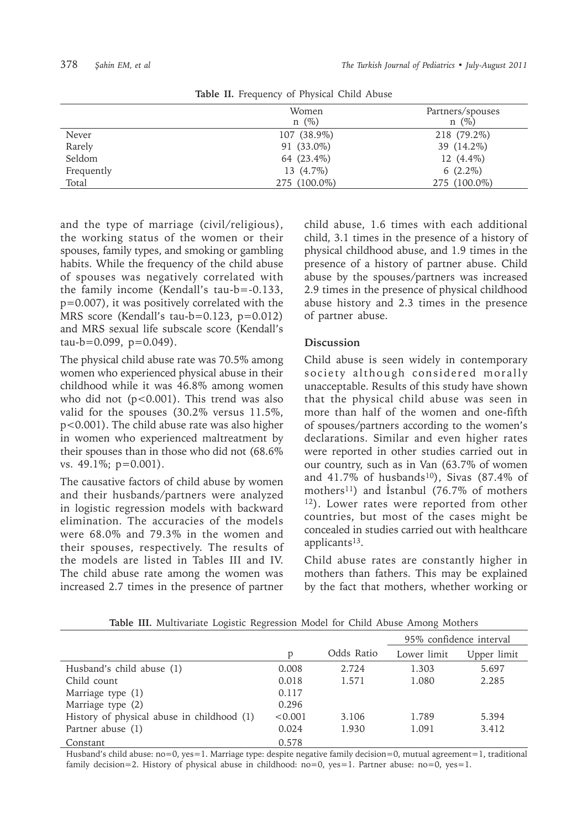|            | Women<br>$n \ (\%)$ | Partners/spouses<br>$n \ (\%)$ |
|------------|---------------------|--------------------------------|
| Never      | 107 (38.9%)         | 218 (79.2%)                    |
| Rarely     | 91 (33.0%)          | 39 (14.2%)                     |
| Seldom     | 64 (23.4%)          | 12 (4.4%)                      |
| Frequently | 13 (4.7%)           | $6(2.2\%)$                     |
| Total      | 275 (100.0%)        | 275 (100.0%)                   |

**Table II.** Frequency of Physical Child Abuse

and the type of marriage (civil/religious), the working status of the women or their spouses, family types, and smoking or gambling habits. While the frequency of the child abuse of spouses was negatively correlated with the family income (Kendall's tau-b=-0.133, p=0.007), it was positively correlated with the MRS score (Kendall's tau-b=0.123, p=0.012) and MRS sexual life subscale score (Kendall's  $tau-b=0.099, p=0.049$ ).

The physical child abuse rate was 70.5% among women who experienced physical abuse in their childhood while it was 46.8% among women who did not  $(p<0.001)$ . This trend was also valid for the spouses (30.2% versus 11.5%, p<0.001). The child abuse rate was also higher in women who experienced maltreatment by their spouses than in those who did not (68.6% vs. 49.1%; p=0.001).

The causative factors of child abuse by women and their husbands/partners were analyzed in logistic regression models with backward elimination. The accuracies of the models were 68.0% and 79.3% in the women and their spouses, respectively. The results of the models are listed in Tables III and IV. The child abuse rate among the women was increased 2.7 times in the presence of partner

child abuse, 1.6 times with each additional child, 3.1 times in the presence of a history of physical childhood abuse, and 1.9 times in the presence of a history of partner abuse. Child abuse by the spouses/partners was increased 2.9 times in the presence of physical childhood abuse history and 2.3 times in the presence of partner abuse.

### **Discussion**

Child abuse is seen widely in contemporary society although considered morally unacceptable. Results of this study have shown that the physical child abuse was seen in more than half of the women and one-fifth of spouses/partners according to the women's declarations. Similar and even higher rates were reported in other studies carried out in our country, such as in Van (63.7% of women and  $41.7\%$  of husbands<sup>10</sup>), Sivas (87.4% of mothers<sup>11</sup>) and Istanbul (76.7% of mothers 12). Lower rates were reported from other countries, but most of the cases might be concealed in studies carried out with healthcare applicants13.

Child abuse rates are constantly higher in mothers than fathers. This may be explained by the fact that mothers, whether working or

|                                            |         |            | 95% confidence interval |             |  |
|--------------------------------------------|---------|------------|-------------------------|-------------|--|
|                                            | p       | Odds Ratio | Lower limit             | Upper limit |  |
| Husband's child abuse (1)                  | 0.008   | 2.724      | 1.303                   | 5.697       |  |
| Child count                                | 0.018   | 1.571      | 1.080                   | 2.285       |  |
| Marriage type (1)                          | 0.117   |            |                         |             |  |
| Marriage type (2)                          | 0.296   |            |                         |             |  |
| History of physical abuse in childhood (1) | < 0.001 | 3.106      | 1.789                   | 5.394       |  |
| Partner abuse (1)                          | 0.024   | 1.930      | 1.091                   | 3.412       |  |
| Constant                                   | 0.578   |            |                         |             |  |

**Table III.** Multivariate Logistic Regression Model for Child Abuse Among Mothers

Husband's child abuse: no=0, yes=1. Marriage type: despite negative family decision=0, mutual agreement=1, traditional family decision=2. History of physical abuse in childhood:  $no=0$ ,  $yes=1$ . Partner abuse:  $no=0$ ,  $yes=1$ .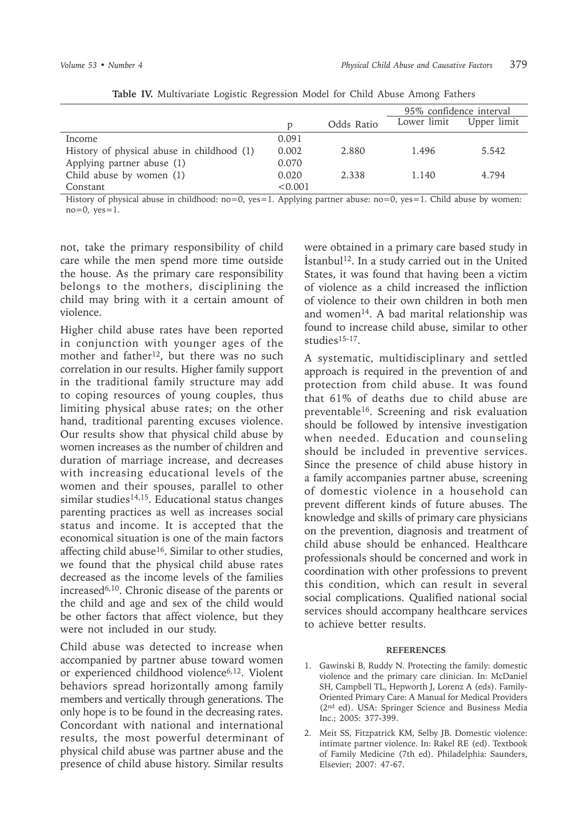|                                            |         |            | 95% confidence interval |             |
|--------------------------------------------|---------|------------|-------------------------|-------------|
|                                            | p       | Odds Ratio | Lower limit             | Upper limit |
| Income                                     | 0.091   |            |                         |             |
| History of physical abuse in childhood (1) | 0.002   | 2.880      | 1.496                   | 5.542       |
| Applying partner abuse (1)                 | 0.070   |            |                         |             |
| Child abuse by women (1)                   | 0.020   | 2.338      | 1.140                   | 4.794       |
| Constant                                   | < 0.001 |            |                         |             |

**Table IV.** Multivariate Logistic Regression Model for Child Abuse Among Fathers

History of physical abuse in childhood: no=0, yes=1. Applying partner abuse: no=0, yes=1. Child abuse by women:  $no=0$ ,  $ves=1$ .

not, take the primary responsibility of child care while the men spend more time outside the house. As the primary care responsibility belongs to the mothers, disciplining the child may bring with it a certain amount of violence.

Higher child abuse rates have been reported in conjunction with younger ages of the mother and father<sup>12</sup>, but there was no such correlation in our results. Higher family support in the traditional family structure may add to coping resources of young couples, thus limiting physical abuse rates; on the other hand, traditional parenting excuses violence. Our results show that physical child abuse by women increases as the number of children and duration of marriage increase, and decreases with increasing educational levels of the women and their spouses, parallel to other similar studies $14,15$ . Educational status changes parenting practices as well as increases social status and income. It is accepted that the economical situation is one of the main factors affecting child abuse<sup>16</sup>. Similar to other studies, we found that the physical child abuse rates decreased as the income levels of the families increased6,10. Chronic disease of the parents or the child and age and sex of the child would be other factors that affect violence, but they were not included in our study.

Child abuse was detected to increase when accompanied by partner abuse toward women or experienced childhood violence<sup>6,12</sup>. Violent behaviors spread horizontally among family members and vertically through generations. The only hope is to be found in the decreasing rates. Concordant with national and international results, the most powerful determinant of physical child abuse was partner abuse and the presence of child abuse history. Similar results

were obtained in a primary care based study in İstanbul12. In a study carried out in the United States, it was found that having been a victim of violence as a child increased the infliction of violence to their own children in both men and women<sup>14</sup>. A bad marital relationship was found to increase child abuse, similar to other studies15-17.

A systematic, multidisciplinary and settled approach is required in the prevention of and protection from child abuse. It was found that 61% of deaths due to child abuse are preventable16. Screening and risk evaluation should be followed by intensive investigation when needed. Education and counseling should be included in preventive services. Since the presence of child abuse history in a family accompanies partner abuse, screening of domestic violence in a household can prevent different kinds of future abuses. The knowledge and skills of primary care physicians on the prevention, diagnosis and treatment of child abuse should be enhanced. Healthcare professionals should be concerned and work in coordination with other professions to prevent this condition, which can result in several social complications. Qualified national social services should accompany healthcare services to achieve better results.

#### **REFERENCES**

- 1. Gawinski B, Ruddy N. Protecting the family: domestic violence and the primary care clinician. In: McDaniel SH, Campbell TL, Hepworth J, Lorenz A (eds). Family-Oriented Primary Care: A Manual for Medical Providers (2nd ed). USA: Springer Science and Business Media Inc.; 2005: 377-399.
- 2. Meit SS, Fitzpatrick KM, Selby JB. Domestic violence: intimate partner violence. In: Rakel RE (ed). Textbook of Family Medicine (7th ed). Philadelphia: Saunders, Elsevier; 2007: 47-67.